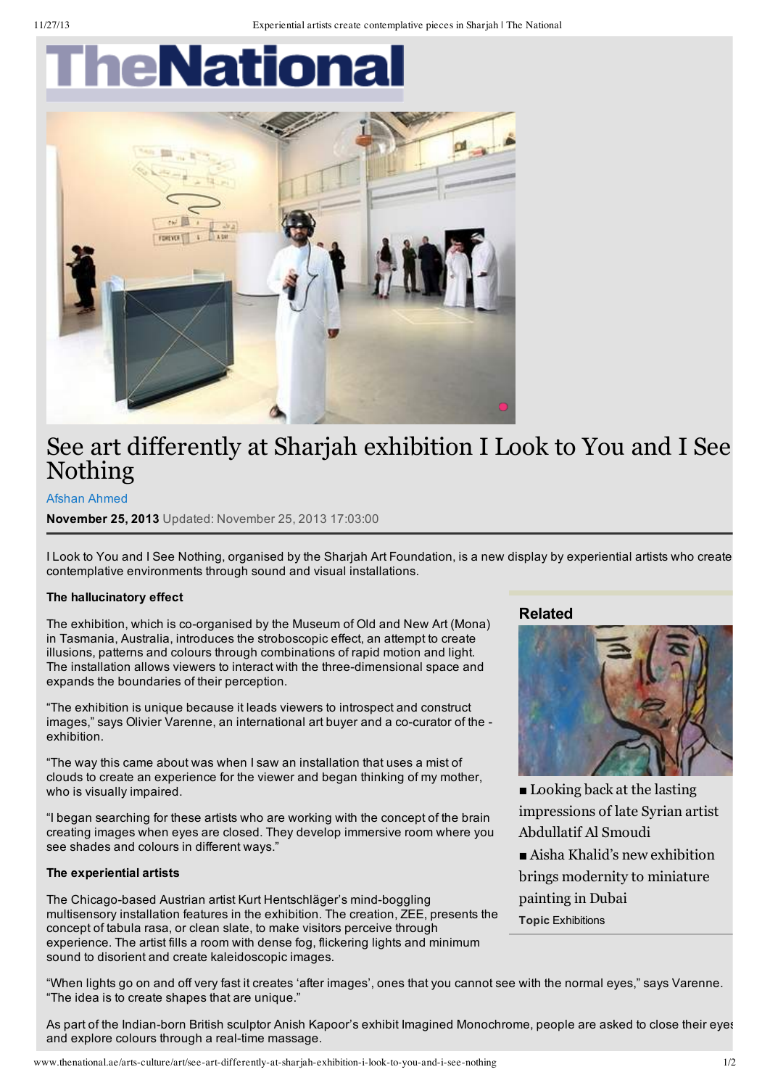# heNationa



## See art differently at Sharjah exhibition I Look to You and I See Nothing

#### Afshan [Ahmed](http://www.thenational.ae/authors/afshan-ahmed)

**November 25, 2013** Updated: November 25, 2013 17:03:00

I Look to You and I See Nothing, organised by the Sharjah Art Foundation, is a new display by experiential artists who create contemplative environments through sound and visual installations.

#### **The hallucinatory effect**

The exhibition, which is co-organised by the Museum of Old and New Art (Mona) in Tasmania, Australia, introduces the stroboscopic effect, an attempt to create illusions, patterns and colours through combinations of rapid motion and light. The installation allows viewers to interact with the three-dimensional space and expands the boundaries of their perception.

"The exhibition is unique because it leads viewers to introspect and construct images," says Olivier Varenne, an international art buyer and a co-curator of the exhibition.

"The way this came about was when I saw an installation that uses a mist of clouds to create an experience for the viewer and began thinking of my mother, who is visually impaired.

"I began searching for these artists who are working with the concept of the brain creating images when eyes are closed. They develop immersive room where you see shades and colours in different ways."

#### **The experiential artists**

The Chicago-based Austrian artist Kurt Hentschläger's mind-boggling multisensory installation features in the exhibition. The creation, ZEE, presents the concept of tabula rasa, or clean slate, to make visitors perceive through experience. The artist fills a room with dense fog, flickering lights and minimum sound to disorient and create kaleidoscopic images.

### **Related**



■ Looking back at the lasting [impressions](http://www.thenational.ae/looking-back-at-the-lasting-impressions-of-late-syrian-artist-abdullatif-al-smoudi) of late Syrian artist Abdullatif Al Smoudi

■ Aisha Khalid's new exhibition brings [modernity](http://www.thenational.ae/arts-culture/art/aisha-khalids-new-exhibition-brings-modernity-to-miniature-painting-in-dubai) to miniature painting in Dubai

**Topic** [Exhibitions](http://arts-culture/exhibitions)

"When lights go on and off very fast it creates 'after images', ones that you cannot see with the normal eyes," says Varenne. "The idea is to create shapes that are unique."

As part of the Indian-born British sculptor Anish Kapoor's exhibit Imagined Monochrome, people are asked to close their eyes and explore colours through a real-time massage.